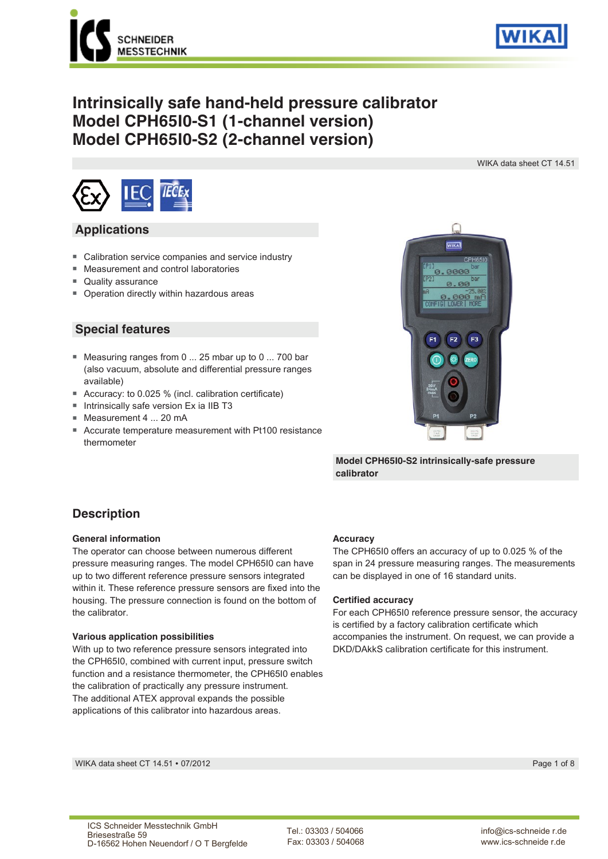



# **Intrinsically safe hand-held pressure calibrator Model CPH65I0-S1 (1-channel version) Model CPH65I0-S2 (2-channel version)**

WIKA data sheet CT 14.51



### **Applications**

- Calibration service companies and service industry
- Measurement and control laboratories
- Quality assurance
- Operation directly within hazardous areas

### **Special features**

- Measuring ranges from 0 ... 25 mbar up to 0 ... 700 bar (also vacuum, absolute and differential pressure ranges available)
- Accuracy: to 0.025 % (incl. calibration certificate)
- Intrinsically safe version Ex ia IIB T3
- Measurement 4 ... 20 mA
- Accurate temperature measurement with Pt100 resistance thermometer



**Model CPH65I0-S2 intrinsically-safe pressure calibrator**

### **Description**

#### **General information**

The operator can choose between numerous different pressure measuring ranges. The model CPH65I0 can have up to two different reference pressure sensors integrated within it. These reference pressure sensors are fixed into the housing. The pressure connection is found on the bottom of the calibrator.

#### **Various application possibilities**

With up to two reference pressure sensors integrated into the CPH65I0, combined with current input, pressure switch function and a resistance thermometer, the CPH65I0 enables the calibration of practically any pressure instrument. The additional ATEX approval expands the possible applications of this calibrator into hazardous areas.

#### **Accuracy**

The CPH65I0 offers an accuracy of up to 0.025 % of the span in 24 pressure measuring ranges. The measurements can be displayed in one of 16 standard units.

#### **Certified accuracy**

For each CPH65I0 reference pressure sensor, the accuracy is certified by a factory calibration certificate which accompanies the instrument. On request, we can provide a DKD/DAkkS calibration certificate for this instrument.

WIKA data sheet CT 14.51 ∙ 07/2012 Page 1 of 8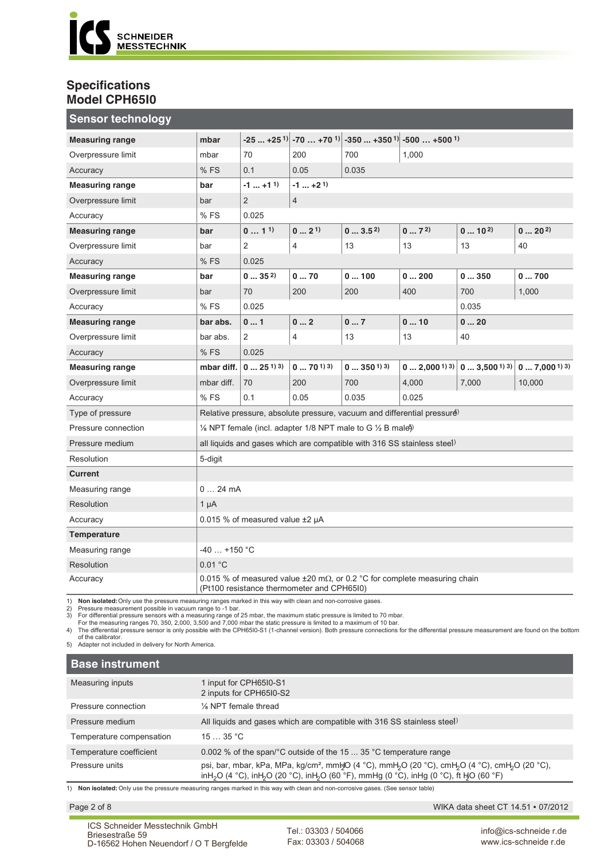

### **Specifications Model CPH65I0**

| <b>Sensor technology</b> |                                                                                                                                      |                                 |                         |                                                                                                             |                     |                                   |                         |  |
|--------------------------|--------------------------------------------------------------------------------------------------------------------------------------|---------------------------------|-------------------------|-------------------------------------------------------------------------------------------------------------|---------------------|-----------------------------------|-------------------------|--|
| <b>Measuring range</b>   | mbar                                                                                                                                 |                                 |                         | $-25$ $+25$ <sup>1)</sup> $-70$ $+70$ <sup>1)</sup> $-350$ $+350$ <sup>1)</sup> $-500$ $+500$ <sup>1)</sup> |                     |                                   |                         |  |
| Overpressure limit       | mbar                                                                                                                                 | 70                              | 200<br>700<br>1,000     |                                                                                                             |                     |                                   |                         |  |
| Accuracy                 | %FS                                                                                                                                  | 0.1                             | 0.05                    | 0.035                                                                                                       |                     |                                   |                         |  |
| <b>Measuring range</b>   | bar                                                                                                                                  | $-1$ +1 <sup>1</sup> )          | $-1$ $+2$ <sup>1)</sup> |                                                                                                             |                     |                                   |                         |  |
| Overpressure limit       | bar                                                                                                                                  | $\overline{2}$                  | $\overline{4}$          |                                                                                                             |                     |                                   |                         |  |
| Accuracy                 | %FS                                                                                                                                  | 0.025                           |                         |                                                                                                             |                     |                                   |                         |  |
| <b>Measuring range</b>   | bar                                                                                                                                  | 011                             | $0 \dots 2^{1}$         | 03.52                                                                                                       | 07 <sup>2</sup>     | $010^{2}$                         | 0202                    |  |
| Overpressure limit       | bar                                                                                                                                  | 2                               | $\overline{4}$          | 13                                                                                                          | 13                  | 13                                | 40                      |  |
| Accuracy                 | %FS                                                                                                                                  | 0.025                           |                         |                                                                                                             |                     |                                   |                         |  |
| <b>Measuring range</b>   | bar                                                                                                                                  | 0352                            | 070                     | 0100                                                                                                        | 0200                | 0350                              | 0700                    |  |
| Overpressure limit       | bar                                                                                                                                  | 70                              | 200                     | 200                                                                                                         | 700<br>1,000<br>400 |                                   |                         |  |
| Accuracy                 | %FS                                                                                                                                  | 0.025                           | 0.035                   |                                                                                                             |                     |                                   |                         |  |
| <b>Measuring range</b>   | bar abs.                                                                                                                             | 01                              | 02                      | 07                                                                                                          | 010<br>020          |                                   |                         |  |
| Overpressure limit       | bar abs.                                                                                                                             | $\overline{2}$                  | $\overline{4}$          | 13<br>13<br>40                                                                                              |                     |                                   |                         |  |
| Accuracy                 | %FS                                                                                                                                  | 0.025                           |                         |                                                                                                             |                     |                                   |                         |  |
| <b>Measuring range</b>   | mbar diff.                                                                                                                           | $025^{13}$                      | $0 \dots 70^{13}$       | $0350^{13}$                                                                                                 | 0 2,00013)          | $\vert 0 \ldots 3,5001\rangle$ 3) | $0 \ldots 7,0001^{(3)}$ |  |
| Overpressure limit       | mbar diff.                                                                                                                           | 70                              | 200                     | 700                                                                                                         | 4,000               | 7,000                             | 10,000                  |  |
| Accuracy                 | %FS                                                                                                                                  | 0.1                             | 0.05                    | 0.035                                                                                                       | 0.025               |                                   |                         |  |
| Type of pressure         | Relative pressure, absolute pressure, vacuum and differential pressure)                                                              |                                 |                         |                                                                                                             |                     |                                   |                         |  |
| Pressure connection      | 1/8 NPT female (incl. adapter 1/8 NPT male to G 1/2 B male5)                                                                         |                                 |                         |                                                                                                             |                     |                                   |                         |  |
| Pressure medium          | all liquids and gases which are compatible with 316 SS stainless steel)                                                              |                                 |                         |                                                                                                             |                     |                                   |                         |  |
| Resolution               | 5-digit                                                                                                                              |                                 |                         |                                                                                                             |                     |                                   |                         |  |
| <b>Current</b>           |                                                                                                                                      |                                 |                         |                                                                                                             |                     |                                   |                         |  |
| Measuring range          | 024mA                                                                                                                                |                                 |                         |                                                                                                             |                     |                                   |                         |  |
| Resolution               | $1 \mu A$                                                                                                                            |                                 |                         |                                                                                                             |                     |                                   |                         |  |
| Accuracy                 |                                                                                                                                      | 0.015 % of measured value ±2 µA |                         |                                                                                                             |                     |                                   |                         |  |
| Temperature              |                                                                                                                                      |                                 |                         |                                                                                                             |                     |                                   |                         |  |
| Measuring range          | $-40$ +150 °C                                                                                                                        |                                 |                         |                                                                                                             |                     |                                   |                         |  |
| Resolution               | 0.01 °C                                                                                                                              |                                 |                         |                                                                                                             |                     |                                   |                         |  |
| Accuracy                 | 0.015 % of measured value $\pm 20$ m $\Omega$ , or 0.2 °C for complete measuring chain<br>(Pt100 resistance thermometer and CPH65I0) |                                 |                         |                                                                                                             |                     |                                   |                         |  |

1) Non isolated: Only use the pressure measuring ranges marked in this way with clean and non-corrosive gases.<br>2) Pressure measurement possible in vacuum range to -1 bar.<br>3) For differential pressure sensors with a measuri

of the calibrator. 5) Adapter not included in delivery for North America.

| <b>Base instrument</b>   |                                                                                                                                                                                                                                                                                            |
|--------------------------|--------------------------------------------------------------------------------------------------------------------------------------------------------------------------------------------------------------------------------------------------------------------------------------------|
| Measuring inputs         | 1 input for CPH65I0-S1<br>2 inputs for CPH65I0-S2                                                                                                                                                                                                                                          |
| Pressure connection      | 1/ <sub>8</sub> NPT female thread                                                                                                                                                                                                                                                          |
| Pressure medium          | All liquids and gases which are compatible with 316 SS stainless steel)                                                                                                                                                                                                                    |
| Temperature compensation | 1535 °C                                                                                                                                                                                                                                                                                    |
| Temperature coefficient  | 0.002 % of the span/°C outside of the 15  35 °C temperature range                                                                                                                                                                                                                          |
| Pressure units           | psi, bar, mbar, kPa, MPa, kg/cm <sup>2</sup> , mmHO (4 °C), mmH <sub>2</sub> O (20 °C), cmH <sub>2</sub> O (4 °C), cmH <sub>2</sub> O (20 °C),<br>inH <sub>2</sub> O (4 °C), inH <sub>2</sub> O (20 °C), inH <sub>2</sub> O (60 °F), mmHg (0 °C), inHg (0 °C), ft H <sub>2</sub> O (60 °F) |

1) **Non isolated:** Only use the pressure measuring ranges marked in this way with clean and non-corrosive gases. (See sensor table)

Page 2 of 8 WIKA data sheet CT 14.51 ∙ 07/2012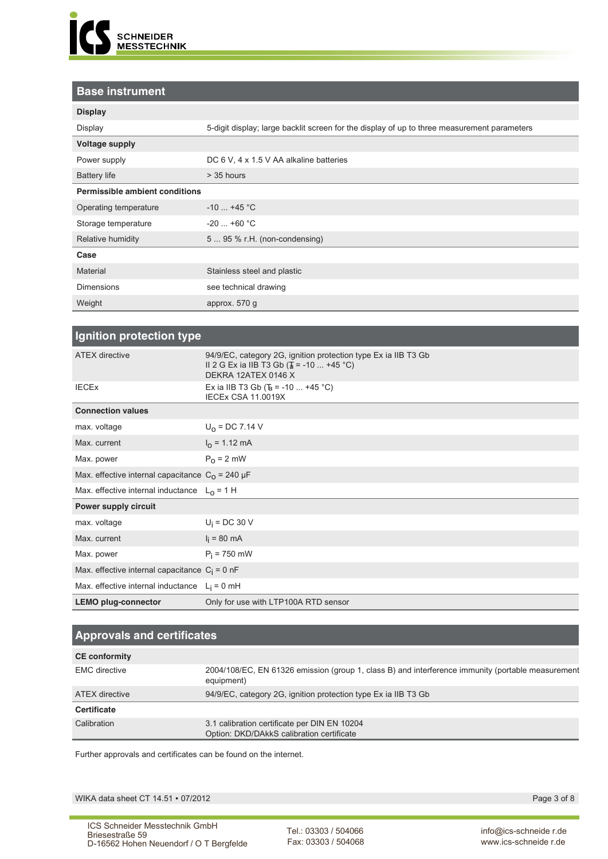

### **Base instrument**

| <b>Display</b>                        |                                                                                             |
|---------------------------------------|---------------------------------------------------------------------------------------------|
| Display                               | 5-digit display; large backlit screen for the display of up to three measurement parameters |
| <b>Voltage supply</b>                 |                                                                                             |
| Power supply                          | DC 6 V, 4 x 1.5 V AA alkaline batteries                                                     |
| <b>Battery life</b>                   | $>$ 35 hours                                                                                |
| <b>Permissible ambient conditions</b> |                                                                                             |
| Operating temperature                 | $-10$ +45 °C                                                                                |
| Storage temperature                   | $-20$ +60 °C                                                                                |
| Relative humidity                     | 5  95 % r.H. (non-condensing)                                                               |
| Case                                  |                                                                                             |
| Material                              | Stainless steel and plastic                                                                 |
| <b>Dimensions</b>                     | see technical drawing                                                                       |
| Weight                                | approx. $570$ g                                                                             |

| Ignition protection type                           |                                                                                                                                                |
|----------------------------------------------------|------------------------------------------------------------------------------------------------------------------------------------------------|
| <b>ATEX directive</b>                              | 94/9/EC, category 2G, ignition protection type Ex ia IIB T3 Gb<br>II 2 G Ex ia IIB T3 Gb ( $\frac{1}{4}$ = -10  +45 °C)<br>DEKRA 12ATEX 0146 X |
| <b>IECEX</b>                                       | Ex ia IIB T3 Gb ( $\overline{b}$ = -10  +45 °C)<br><b>IECEX CSA 11.0019X</b>                                                                   |
| <b>Connection values</b>                           |                                                                                                                                                |
| max. voltage                                       | $U_0$ = DC 7.14 V                                                                                                                              |
| Max. current                                       | $I0$ = 1.12 mA                                                                                                                                 |
| Max. power                                         | $P_0 = 2$ mW                                                                                                                                   |
| Max. effective internal capacitance $C_0$ = 240 µF |                                                                                                                                                |
| Max. effective internal inductance $L_0 = 1$ H     |                                                                                                                                                |
| Power supply circuit                               |                                                                                                                                                |
| max. voltage                                       | $U_i$ = DC 30 V                                                                                                                                |
| Max. current                                       | $I_i = 80 \text{ mA}$                                                                                                                          |
| Max. power                                         | $P_i = 750$ mW                                                                                                                                 |
| Max. effective internal capacitance $C_i = 0$ nF   |                                                                                                                                                |
| Max. effective internal inductance $L_i = 0$ mH    |                                                                                                                                                |
| <b>LEMO plug-connector</b>                         | Only for use with LTP100A RTD sensor                                                                                                           |

| <b>Approvals and certificates</b> |                                                                                                                 |  |  |  |  |  |  |
|-----------------------------------|-----------------------------------------------------------------------------------------------------------------|--|--|--|--|--|--|
| <b>CE conformity</b>              |                                                                                                                 |  |  |  |  |  |  |
| <b>EMC</b> directive              | 2004/108/EC, EN 61326 emission (group 1, class B) and interference immunity (portable measurement<br>equipment) |  |  |  |  |  |  |
| ATEX directive                    | 94/9/EC, category 2G, ignition protection type Ex ia IIB T3 Gb                                                  |  |  |  |  |  |  |
| Certificate                       |                                                                                                                 |  |  |  |  |  |  |
| Calibration                       | 3.1 calibration certificate per DIN EN 10204<br>Option: DKD/DAkkS calibration certificate                       |  |  |  |  |  |  |

Further approvals and certificates can be found on the internet.

WIKA data sheet CT 14.51 ∙ 07/2012 Page 3 of 8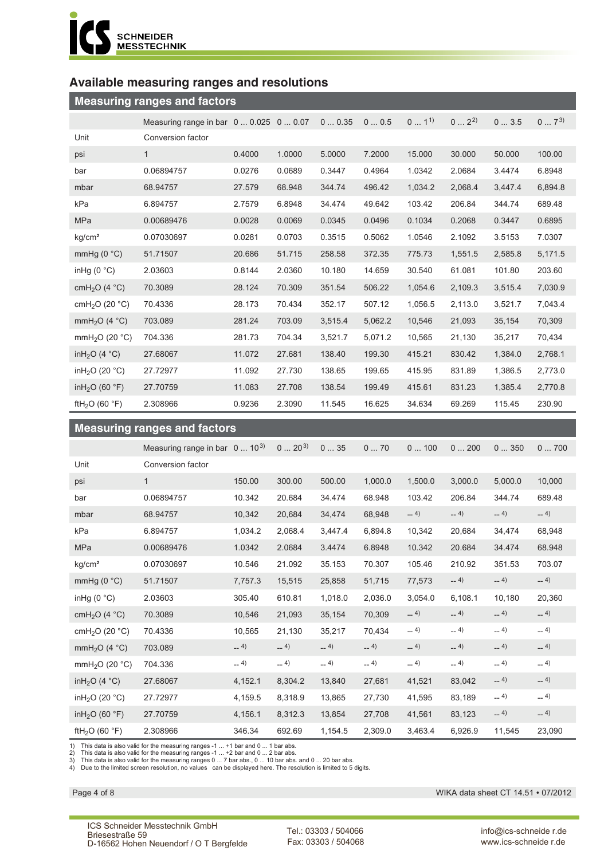

## **Available measuring ranges and resolutions**

| <b>Measuring ranges and factors</b>  |                                 |        |        |         |         |          |           |         |          |
|--------------------------------------|---------------------------------|--------|--------|---------|---------|----------|-----------|---------|----------|
|                                      | Measuring range in bar 0  0.025 |        | 00.07  | 00.35   | 00.5    | $01^{1}$ | $0 2^{2}$ | 03.5    | $07^{3}$ |
| Unit                                 | Conversion factor               |        |        |         |         |          |           |         |          |
| psi                                  | $\mathbf{1}$                    | 0.4000 | 1.0000 | 5.0000  | 7.2000  | 15.000   | 30.000    | 50.000  | 100.00   |
| bar                                  | 0.06894757                      | 0.0276 | 0.0689 | 0.3447  | 0.4964  | 1.0342   | 2.0684    | 3.4474  | 6.8948   |
| mbar                                 | 68.94757                        | 27.579 | 68.948 | 344.74  | 496.42  | 1,034.2  | 2,068.4   | 3,447.4 | 6,894.8  |
| kPa                                  | 6.894757                        | 2.7579 | 6.8948 | 34.474  | 49.642  | 103.42   | 206.84    | 344.74  | 689.48   |
| <b>MPa</b>                           | 0.00689476                      | 0.0028 | 0.0069 | 0.0345  | 0.0496  | 0.1034   | 0.2068    | 0.3447  | 0.6895   |
| kg/cm <sup>2</sup>                   | 0.07030697                      | 0.0281 | 0.0703 | 0.3515  | 0.5062  | 1.0546   | 2.1092    | 3.5153  | 7.0307   |
| mmHg $(0 °C)$                        | 51.71507                        | 20.686 | 51.715 | 258.58  | 372.35  | 775.73   | 1,551.5   | 2,585.8 | 5,171.5  |
| in Hg $(0 °C)$                       | 2.03603                         | 0.8144 | 2.0360 | 10.180  | 14.659  | 30.540   | 61.081    | 101.80  | 203.60   |
| cmH <sub>2</sub> O (4 $^{\circ}$ C)  | 70.3089                         | 28.124 | 70.309 | 351.54  | 506.22  | 1,054.6  | 2,109.3   | 3,515.4 | 7,030.9  |
| cmH <sub>2</sub> O (20 $°C$ )        | 70.4336                         | 28.173 | 70.434 | 352.17  | 507.12  | 1,056.5  | 2,113.0   | 3,521.7 | 7,043.4  |
| mmH <sub>2</sub> O (4 $^{\circ}$ C)  | 703.089                         | 281.24 | 703.09 | 3,515.4 | 5,062.2 | 10,546   | 21,093    | 35,154  | 70,309   |
| mmH <sub>2</sub> O (20 $°C$ )        | 704.336                         | 281.73 | 704.34 | 3,521.7 | 5.071.2 | 10,565   | 21,130    | 35,217  | 70,434   |
| in $H_2O$ (4 °C)                     | 27.68067                        | 11.072 | 27.681 | 138.40  | 199.30  | 415.21   | 830.42    | 1,384.0 | 2,768.1  |
| inH <sub>2</sub> O (20 $^{\circ}$ C) | 27.72977                        | 11.092 | 27.730 | 138.65  | 199.65  | 415.95   | 831.89    | 1,386.5 | 2,773.0  |
| inH <sub>2</sub> O (60 $^{\circ}$ F) | 27.70759                        | 11.083 | 27.708 | 138.54  | 199.49  | 415.61   | 831.23    | 1,385.4 | 2,770.8  |
| ftH <sub>2</sub> O (60 $\degree$ F)  | 2.308966                        | 0.9236 | 2.3090 | 11.545  | 16.625  | 34.634   | 69.269    | 115.45  | 230.90   |

| <b>Measuring ranges and factors</b>  |                                         |         |            |         |         |         |         |         |        |  |
|--------------------------------------|-----------------------------------------|---------|------------|---------|---------|---------|---------|---------|--------|--|
|                                      | Measuring range in bar $0 \dots 10^{3}$ |         | $0 20^{3}$ | 035     | 070     | 0100    | 0200    | 0350    | 0700   |  |
| Unit                                 | Conversion factor                       |         |            |         |         |         |         |         |        |  |
| psi                                  | $\mathbf{1}$                            | 150.00  | 300.00     | 500.00  | 1,000.0 | 1,500.0 | 3,000.0 | 5,000.0 | 10,000 |  |
| bar                                  | 0.06894757                              | 10.342  | 20.684     | 34.474  | 68.948  | 103.42  | 206.84  | 344.74  | 689.48 |  |
| mbar                                 | 68.94757                                | 10,342  | 20,684     | 34,474  | 68,948  | $-4)$   | $-4)$   | $-4)$   | $-4)$  |  |
| kPa                                  | 6.894757                                | 1,034.2 | 2,068.4    | 3,447.4 | 6,894.8 | 10,342  | 20,684  | 34,474  | 68,948 |  |
| <b>MPa</b>                           | 0.00689476                              | 1.0342  | 2.0684     | 3.4474  | 6.8948  | 10.342  | 20.684  | 34.474  | 68.948 |  |
| kg/cm <sup>2</sup>                   | 0.07030697                              | 10.546  | 21.092     | 35.153  | 70.307  | 105.46  | 210.92  | 351.53  | 703.07 |  |
| mmHg $(0 °C)$                        | 51.71507                                | 7,757.3 | 15,515     | 25,858  | 51,715  | 77,573  | $-4)$   | $-4)$   | $-4)$  |  |
| in Hg $(0 °C)$                       | 2.03603                                 | 305.40  | 610.81     | 1,018.0 | 2,036.0 | 3,054.0 | 6,108.1 | 10,180  | 20,360 |  |
| cmH <sub>2</sub> O (4 $^{\circ}$ C)  | 70.3089                                 | 10,546  | 21,093     | 35,154  | 70,309  | $-4)$   | $-4)$   | $-4)$   | $-4)$  |  |
| cmH <sub>2</sub> O (20 $°C$ )        | 70.4336                                 | 10,565  | 21,130     | 35,217  | 70,434  | $-4)$   | $-4)$   | $-4)$   | $-4)$  |  |
| mmH <sub>2</sub> O (4 °C)            | 703.089                                 | $-4)$   | $-4)$      | $-4)$   | $-4)$   | $-4)$   | $-4)$   | $-4)$   | $-4)$  |  |
| mmH <sub>2</sub> O (20 $^{\circ}$ C) | 704.336                                 | $-4)$   | $-4)$      | $-4)$   | $-4)$   | $-4)$   | $-4)$   | $-4)$   | $-4)$  |  |
| inH <sub>2</sub> O (4 $^{\circ}$ C)  | 27.68067                                | 4,152.1 | 8,304.2    | 13,840  | 27,681  | 41,521  | 83,042  | $-4)$   | $-4)$  |  |
| inH <sub>2</sub> O (20 $^{\circ}$ C) | 27.72977                                | 4,159.5 | 8,318.9    | 13,865  | 27,730  | 41,595  | 83,189  | $-4)$   | $-4)$  |  |
| inH <sub>2</sub> O (60 $\degree$ F)  | 27.70759                                | 4,156.1 | 8,312.3    | 13,854  | 27,708  | 41,561  | 83,123  | $-4)$   | $-4)$  |  |
| ftH <sub>2</sub> O (60 $\degree$ F)  | 2.308966                                | 346.34  | 692.69     | 1,154.5 | 2,309.0 | 3,463.4 | 6,926.9 | 11,545  | 23,090 |  |

1) This data is also valid for the measuring ranges -1 ... +1 bar and 0 ... 1 bar abs.<br>2) This data is also valid for the measuring ranges -1 ... +2 bar and 0 ... 2 bar abs.<br>3) This data is also valid for the measuring ran

Page 4 of 8 WIKA data sheet CT 14.51 ∙ 07/2012

ICS Schneider Messtechnik GmbH Briesestraße 59 D-16562 Hohen Neuendorf / O T Bergfelde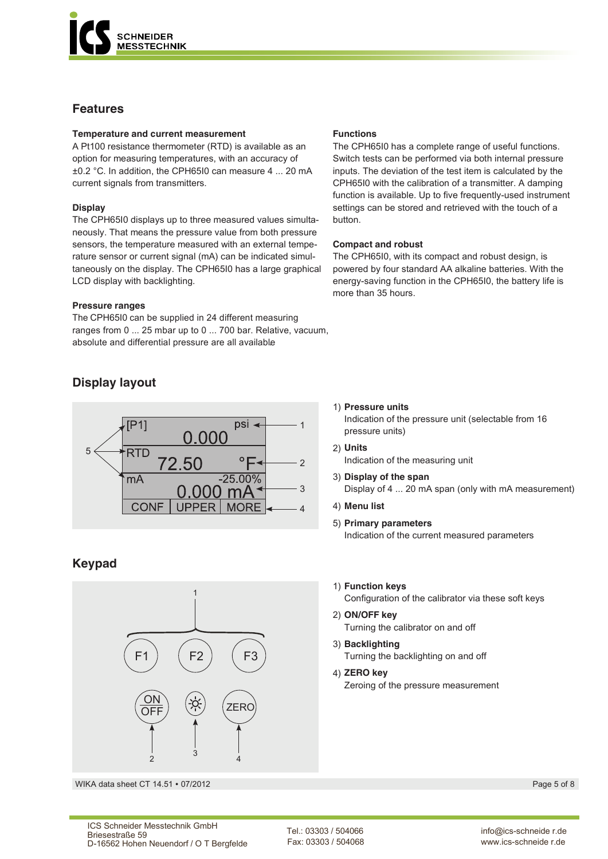

### **Features**

#### **Temperature and current measurement**

A Pt100 resistance thermometer (RTD) is available as an option for measuring temperatures, with an accuracy of ±0.2 °C. In addition, the CPH65I0 can measure 4 ... 20 mA current signals from transmitters.

### **Display**

The CPH65I0 displays up to three measured values simultaneously. That means the pressure value from both pressure sensors, the temperature measured with an external temperature sensor or current signal (mA) can be indicated simultaneously on the display. The CPH65I0 has a large graphical LCD display with backlighting.

#### **Pressure ranges**

The CPH65I0 can be supplied in 24 different measuring ranges from 0 ... 25 mbar up to 0 ... 700 bar. Relative, vacuum, absolute and differential pressure are all available.

### **Display layout**



### **Keypad**



WIKA data sheet CT 14.51 ∙ 07/2012 Page 5 of 8

#### **Functions**

The CPH65I0 has a complete range of useful functions. Switch tests can be performed via both internal pressure inputs. The deviation of the test item is calculated by the CPH65I0 with the calibration of a transmitter. A damping function is available. Up to five frequently-used instrument settings can be stored and retrieved with the touch of a button.

#### **Compact and robust**

The CPH65I0, with its compact and robust design, is powered by four standard AA alkaline batteries. With the energy-saving function in the CPH65I0, the battery life is more than 35 hours.

#### 1) **Pressure units**

Indication of the pressure unit (selectable from 16 pressure units)

- 2) **Units** Indication of the measuring unit
- 3) **Display of the span** Display of 4 ... 20 mA span (only with mA measurement)
- 4) **Menu list**
- 5) **Primary parameters** Indication of the current measured parameters
- 1) **Function keys**

Configuration of the calibrator via these soft keys

- 2) **ON/OFF key** Turning the calibrator on and off
- 3) **Backlighting** Turning the backlighting on and off
- 4) **ZERO key** Zeroing of the pressure measurement

Tel.: 03303 / 504066 Fax: 03303 / 504068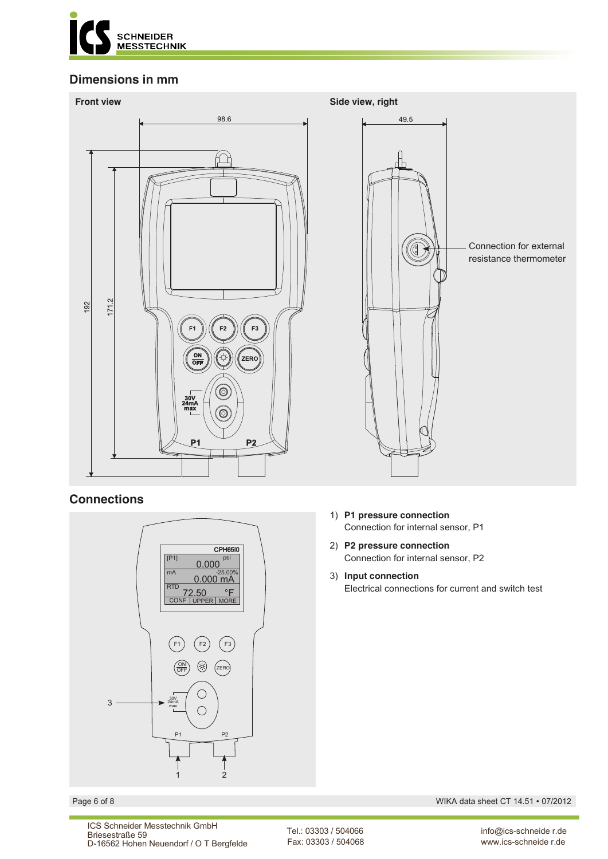

### **Dimensions in mm**



### **Connections**



- 1) **P1 pressure connection** Connection for internal sensor, P1
- 2) **P2 pressure connection** Connection for internal sensor, P2
- 3) **Input connection** Electrical connections for current and switch test

Page 6 of 8 WIKA data sheet CT 14.51 ∙ 07/2012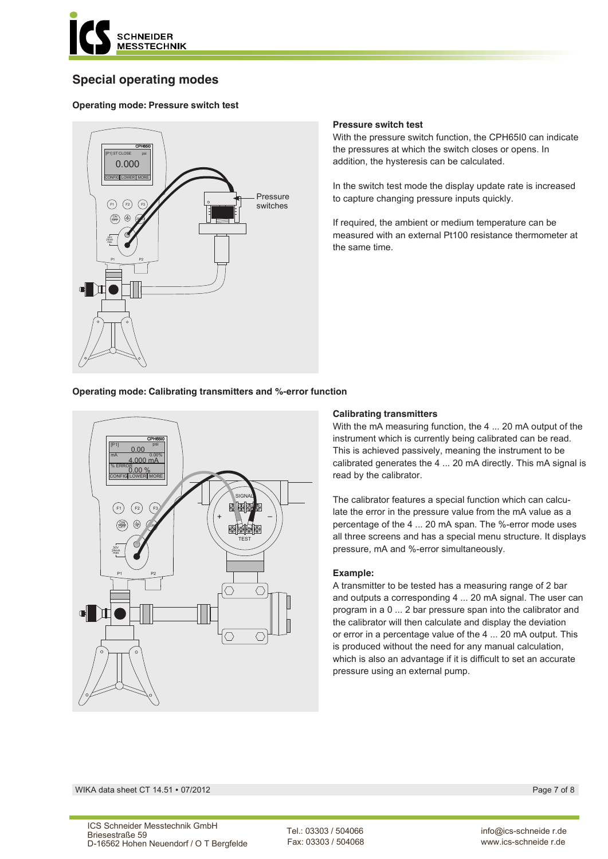

## **Special operating modes**

### **Operating mode: Pressure switch test**



#### **Pressure switch test**

With the pressure switch function, the CPH65I0 can indicate the pressures at which the switch closes or opens. In addition, the hysteresis can be calculated.

In the switch test mode the display update rate is increased to capture changing pressure inputs quickly.

If required, the ambient or medium temperature can be measured with an external Pt100 resistance thermometer at the same time.

#### **Operating mode: Calibrating transmitters and %-error function**



#### **Calibrating transmitters**

With the mA measuring function, the 4 ... 20 mA output of the instrument which is currently being calibrated can be read. This is achieved passively, meaning the instrument to be calibrated generates the 4 ... 20 mA directly. This mA signal is read by the calibrator.

The calibrator features a special function which can calculate the error in the pressure value from the mA value as a percentage of the 4 ... 20 mA span. The %-error mode uses all three screens and has a special menu structure. It displays pressure, mA and %-error simultaneously.

#### **Example:**

A transmitter to be tested has a measuring range of 2 bar and outputs a corresponding 4 ... 20 mA signal. The user can program in a 0 ... 2 bar pressure span into the calibrator and the calibrator will then calculate and display the deviation or error in a percentage value of the 4 ... 20 mA output. This is produced without the need for any manual calculation, which is also an advantage if it is difficult to set an accurate pressure using an external pump.

WIKA data sheet CT 14.51 ∙ 07/2012 Page 7 of 8

Tel.: 03303 / 504066 Fax: 03303 / 504068